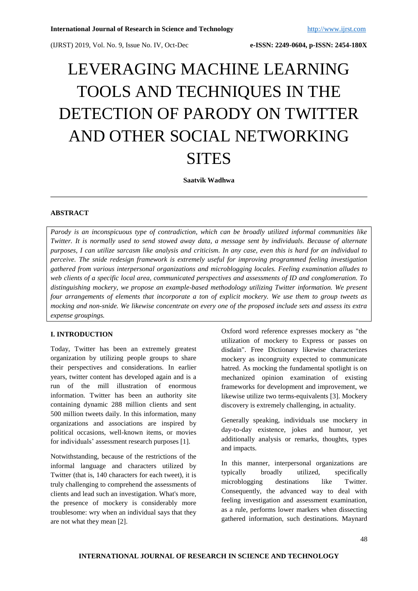# LEVERAGING MACHINE LEARNING TOOLS AND TECHNIQUES IN THE DETECTION OF PARODY ON TWITTER AND OTHER SOCIAL NETWORKING **SITES**

**Saatvik Wadhwa**

### **ABSTRACT**

*Parody is an inconspicuous type of contradiction, which can be broadly utilized informal communities like Twitter. It is normally used to send stowed away data, a message sent by individuals. Because of alternate purposes, I can utilize sarcasm like analysis and criticism. In any case, even this is hard for an individual to perceive. The snide redesign framework is extremely useful for improving programmed feeling investigation gathered from various interpersonal organizations and microblogging locales. Feeling examination alludes to web clients of a specific local area, communicated perspectives and assessments of ID and conglomeration. To distinguishing mockery, we propose an example-based methodology utilizing Twitter information. We present four arrangements of elements that incorporate a ton of explicit mockery. We use them to group tweets as mocking and non-snide. We likewise concentrate on every one of the proposed include sets and assess its extra expense groupings.*

## **I. INTRODUCTION**

Today, Twitter has been an extremely greatest organization by utilizing people groups to share their perspectives and considerations. In earlier years, twitter content has developed again and is a run of the mill illustration of enormous information. Twitter has been an authority site containing dynamic 288 million clients and sent 500 million tweets daily. In this information, many organizations and associations are inspired by political occasions, well-known items, or movies for individuals' assessment research purposes [1].

Notwithstanding, because of the restrictions of the informal language and characters utilized by Twitter (that is, 140 characters for each tweet), it is truly challenging to comprehend the assessments of clients and lead such an investigation. What's more, the presence of mockery is considerably more troublesome: wry when an individual says that they are not what they mean [2].

Oxford word reference expresses mockery as "the utilization of mockery to Express or passes on disdain". Free Dictionary likewise characterizes mockery as incongruity expected to communicate hatred. As mocking the fundamental spotlight is on mechanized opinion examination of existing frameworks for development and improvement, we likewise utilize two terms-equivalents [3]. Mockery discovery is extremely challenging, in actuality.

Generally speaking, individuals use mockery in day-to-day existence, jokes and humour, yet additionally analysis or remarks, thoughts, types and impacts.

In this manner, interpersonal organizations are typically broadly utilized, specifically microblogging destinations like Twitter. Consequently, the advanced way to deal with feeling investigation and assessment examination, as a rule, performs lower markers when dissecting gathered information, such destinations. Maynard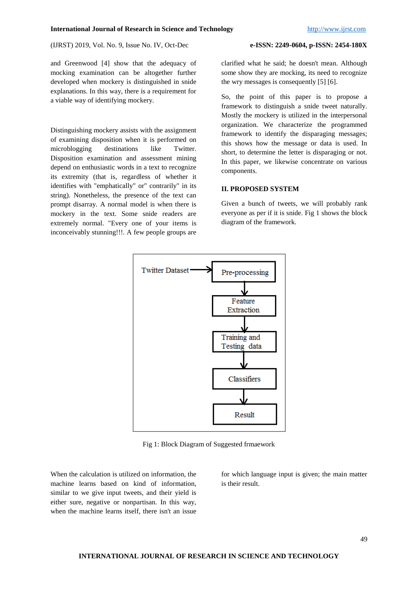and Greenwood [4] show that the adequacy of mocking examination can be altogether further developed when mockery is distinguished in snide explanations. In this way, there is a requirement for a viable way of identifying mockery.

Distinguishing mockery assists with the assignment of examining disposition when it is performed on microblogging destinations like Twitter. Disposition examination and assessment mining depend on enthusiastic words in a text to recognize its extremity (that is, regardless of whether it identifies with "emphatically" or" contrarily" in its string). Nonetheless, the presence of the text can prompt disarray. A normal model is when there is mockery in the text. Some snide readers are extremely normal. "Every one of your items is inconceivably stunning!!!. A few people groups are

clarified what he said; he doesn't mean. Although some show they are mocking, its need to recognize the wry messages is consequently [5] [6].

So, the point of this paper is to propose a framework to distinguish a snide tweet naturally. Mostly the mockery is utilized in the interpersonal organization. We characterize the programmed framework to identify the disparaging messages; this shows how the message or data is used. In short, to determine the letter is disparaging or not. In this paper, we likewise concentrate on various components.

#### **II. PROPOSED SYSTEM**

Given a bunch of tweets, we will probably rank everyone as per if it is snide. Fig 1 shows the block diagram of the framework.



Fig 1: Block Diagram of Suggested frmaework

When the calculation is utilized on information, the machine learns based on kind of information, similar to we give input tweets, and their yield is either sure, negative or nonpartisan. In this way, when the machine learns itself, there isn't an issue

for which language input is given; the main matter is their result.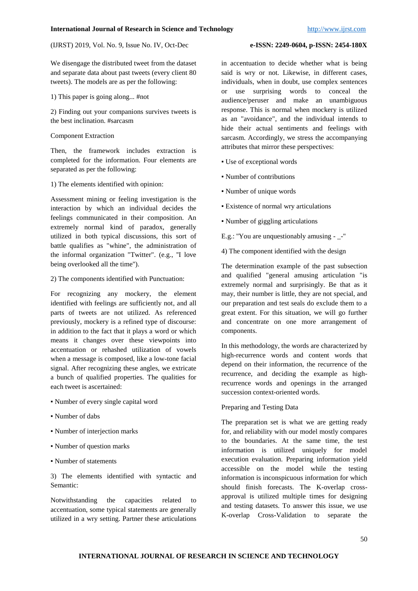We disengage the distributed tweet from the dataset and separate data about past tweets (every client 80 tweets). The models are as per the following:

1) This paper is going along... #not

2) Finding out your companions survives tweets is the best inclination. #sarcasm

Component Extraction

Then, the framework includes extraction is completed for the information. Four elements are separated as per the following:

1) The elements identified with opinion:

Assessment mining or feeling investigation is the interaction by which an individual decides the feelings communicated in their composition. An extremely normal kind of paradox, generally utilized in both typical discussions, this sort of battle qualifies as "whine", the administration of the informal organization "Twitter". (e.g., "I love being overlooked all the time'').

2) The components identified with Punctuation:

For recognizing any mockery, the element identified with feelings are sufficiently not, and all parts of tweets are not utilized. As referenced previously, mockery is a refined type of discourse: in addition to the fact that it plays a word or which means it changes over these viewpoints into accentuation or rehashed utilization of vowels when a message is composed, like a low-tone facial signal. After recognizing these angles, we extricate a bunch of qualified properties. The qualities for each tweet is ascertained:

- Number of every single capital word
- Number of dabs
- Number of interjection marks
- Number of question marks
- Number of statements

3) The elements identified with syntactic and Semantic:

Notwithstanding the capacities related to accentuation, some typical statements are generally utilized in a wry setting. Partner these articulations

in accentuation to decide whether what is being said is wry or not. Likewise, in different cases, individuals, when in doubt, use complex sentences or use surprising words to conceal the audience/peruser and make an unambiguous response. This is normal when mockery is utilized as an "avoidance", and the individual intends to hide their actual sentiments and feelings with sarcasm. Accordingly, we stress the accompanying attributes that mirror these perspectives:

- Use of exceptional words
- Number of contributions
- Number of unique words
- Existence of normal wry articulations

▪ Number of giggling articulations

E.g.: "You are unquestionably amusing - -"

4) The component identified with the design

The determination example of the past subsection and qualified "general amusing articulation "is extremely normal and surprisingly. Be that as it may, their number is little, they are not special, and our preparation and test seals do exclude them to a great extent. For this situation, we will go further and concentrate on one more arrangement of components.

In this methodology, the words are characterized by high-recurrence words and content words that depend on their information, the recurrence of the recurrence, and deciding the example as highrecurrence words and openings in the arranged succession context-oriented words.

### Preparing and Testing Data

The preparation set is what we are getting ready for, and reliability with our model mostly compares to the boundaries. At the same time, the test information is utilized uniquely for model execution evaluation. Preparing information yield accessible on the model while the testing information is inconspicuous information for which should finish forecasts. The K-overlap crossapproval is utilized multiple times for designing and testing datasets. To answer this issue, we use K-overlap Cross-Validation to separate the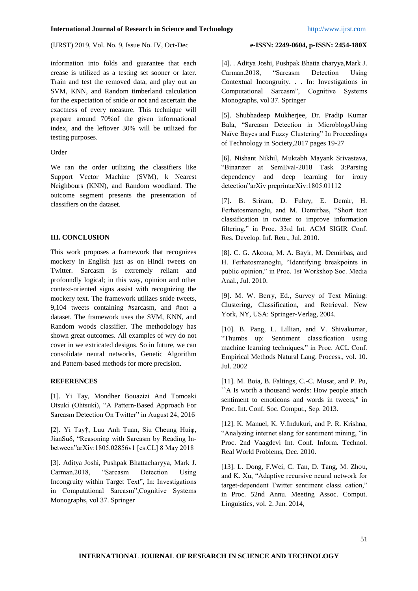information into folds and guarantee that each crease is utilized as a testing set sooner or later. Train and test the removed data, and play out an SVM, KNN, and Random timberland calculation for the expectation of snide or not and ascertain the exactness of every measure. This technique will prepare around 70%of the given informational index, and the leftover 30% will be utilized for testing purposes.

#### Order

We ran the order utilizing the classifiers like Support Vector Machine (SVM), k Nearest Neighbours (KNN), and Random woodland. The outcome segment presents the presentation of classifiers on the dataset.

### **III. CONCLUSION**

This work proposes a framework that recognizes mockery in English just as on Hindi tweets on Twitter. Sarcasm is extremely reliant and profoundly logical; in this way, opinion and other context-oriented signs assist with recognizing the mockery text. The framework utilizes snide tweets, 9,104 tweets containing #sarcasm, and #not a dataset. The framework uses the SVM, KNN, and Random woods classifier. The methodology has shown great outcomes. All examples of wry do not cover in we extricated designs. So in future, we can consolidate neural networks, Genetic Algorithm and Pattern-based methods for more precision.

### **REFERENCES**

[1]. Yi Tay, Mondher Bouazizi And Tomoaki Otsuki (Ohtsuki), "A Pattern-Based Approach For Sarcasm Detection On Twitter" in August 24, 2016

[2]. Yi Tay†, Luu Anh Tuan, Siu Cheung Huiφ, JianSuδ, "Reasoning with Sarcasm by Reading Inbetween"arXiv:1805.02856v1 [cs.CL] 8 May 2018

[3]. Aditya Joshi, Pushpak Bhattacharyya, Mark J. Carman.2018, "Sarcasm Detection Using Incongruity within Target Text", In: Investigations in Computational Sarcasm",Cognitive Systems Monographs, vol 37. Springer

[4]. . Aditya Joshi, Pushpak Bhatta charyya,Mark J. Carman.2018, "Sarcasm Detection Using Contextual Incongruity. . . In: Investigations in Computational Sarcasm", Cognitive Systems Monographs, vol 37. Springer

[5]. Shubhadeep Mukherjee, Dr. Pradip Kumar Bala, "Sarcasm Detection in MicroblogsUsing Naïve Bayes and Fuzzy Clustering" In Proceedings of Technology in Society,2017 pages 19-27

[6]. Nishant Nikhil, Muktabh Mayank Srivastava, "Binarizer at SemEval-2018 Task 3:Parsing dependency and deep learning for irony detection"arXiv preprintarXiv:1805.01112

[7]. B. Sriram, D. Fuhry, E. Demir, H. Ferhatosmanoglu, and M. Demirbas, "Short text classification in twitter to improve information filtering," in Proc. 33rd Int. ACM SIGIR Conf. Res. Develop. Inf. Retr., Jul. 2010.

[8]. C. G. Akcora, M. A. Bayir, M. Demirbas, and H. Ferhatosmanoglu, "Identifying breakpoints in public opinion," in Proc. 1st Workshop Soc. Media Anal., Jul. 2010.

[9]. M. W. Berry, Ed., Survey of Text Mining: Clustering, Classification, and Retrieval. New York, NY, USA: Springer-Verlag, 2004.

[10]. B. Pang, L. Lillian, and V. Shivakumar, "Thumbs up: Sentiment classification using machine learning techniques," in Proc. ACL Conf. Empirical Methods Natural Lang. Process., vol. 10. Jul. 2002

[11]. M. Boia, B. Faltings, C.-C. Musat, and P. Pu, ``A Is worth a thousand words: How people attach sentiment to emoticons and words in tweets,'' in Proc. Int. Conf. Soc. Comput., Sep. 2013.

[12]. K. Manuel, K. V.Indukuri, and P. R. Krishna, "Analyzing internet slang for sentiment mining, "in Proc. 2nd Vaagdevi Int. Conf. Inform. Technol. Real World Problems, Dec. 2010.

[13]. L. Dong, F.Wei, C. Tan, D. Tang, M. Zhou, and K. Xu, "Adaptive recursive neural network for target-dependent Twitter sentiment classi cation," in Proc. 52nd Annu. Meeting Assoc. Comput. Linguistics, vol. 2. Jun. 2014,